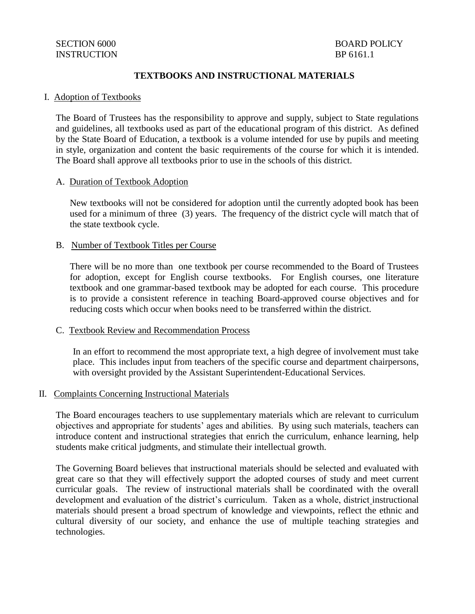## **TEXTBOOKS AND INSTRUCTIONAL MATERIALS**

#### I. Adoption of Textbooks

The Board of Trustees has the responsibility to approve and supply, subject to State regulations and guidelines, all textbooks used as part of the educational program of this district. As defined by the State Board of Education, a textbook is a volume intended for use by pupils and meeting in style, organization and content the basic requirements of the course for which it is intended. The Board shall approve all textbooks prior to use in the schools of this district.

#### A. Duration of Textbook Adoption

New textbooks will not be considered for adoption until the currently adopted book has been used for a minimum of three (3) years. The frequency of the district cycle will match that of the state textbook cycle.

### B. Number of Textbook Titles per Course

There will be no more than one textbook per course recommended to the Board of Trustees for adoption, except for English course textbooks. For English courses, one literature textbook and one grammar-based textbook may be adopted for each course. This procedure is to provide a consistent reference in teaching Board-approved course objectives and for reducing costs which occur when books need to be transferred within the district.

### C. Textbook Review and Recommendation Process

In an effort to recommend the most appropriate text, a high degree of involvement must take place. This includes input from teachers of the specific course and department chairpersons, with oversight provided by the Assistant Superintendent-Educational Services.

### II. Complaints Concerning Instructional Materials

The Board encourages teachers to use supplementary materials which are relevant to curriculum objectives and appropriate for students' ages and abilities. By using such materials, teachers can introduce content and instructional strategies that enrich the curriculum, enhance learning, help students make critical judgments, and stimulate their intellectual growth.

The Governing Board believes that instructional materials should be selected and evaluated with great care so that they will effectively support the adopted courses of study and meet current curricular goals. The review of instructional materials shall be coordinated with the overall development and evaluation of the district's curriculum. Taken as a whole, district instructional materials should present a broad spectrum of knowledge and viewpoints, reflect the ethnic and cultural diversity of our society, and enhance the use of multiple teaching strategies and technologies.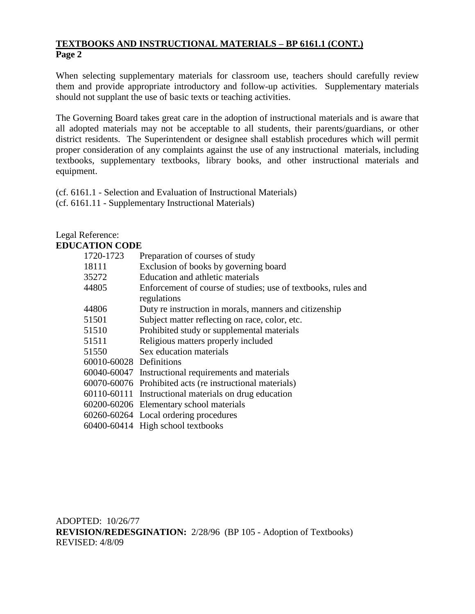# **TEXTBOOKS AND INSTRUCTIONAL MATERIALS – BP 6161.1 (CONT.) Page 2**

When selecting supplementary materials for classroom use, teachers should carefully review them and provide appropriate introductory and follow-up activities. Supplementary materials should not supplant the use of basic texts or teaching activities.

The Governing Board takes great care in the adoption of instructional materials and is aware that all adopted materials may not be acceptable to all students, their parents/guardians, or other district residents. The Superintendent or designee shall establish procedures which will permit proper consideration of any complaints against the use of any instructional materials, including textbooks, supplementary textbooks, library books, and other instructional materials and equipment.

(cf. 6161.1 - Selection and Evaluation of Instructional Materials) (cf. 6161.11 - Supplementary Instructional Materials)

## Legal Reference: **EDUCATION CODE**

| 1720-1723               | Preparation of courses of study                               |
|-------------------------|---------------------------------------------------------------|
| 18111                   | Exclusion of books by governing board                         |
| 35272                   | Education and athletic materials                              |
| 44805                   | Enforcement of course of studies; use of textbooks, rules and |
|                         | regulations                                                   |
| 44806                   | Duty re instruction in morals, manners and citizenship        |
| 51501                   | Subject matter reflecting on race, color, etc.                |
| 51510                   | Prohibited study or supplemental materials                    |
| 51511                   | Religious matters properly included                           |
| 51550                   | Sex education materials                                       |
| 60010-60028 Definitions |                                                               |
|                         | 60040-60047 Instructional requirements and materials          |
|                         | 60070-60076 Prohibited acts (re instructional materials)      |
|                         | 60110-60111 Instructional materials on drug education         |
|                         | 60200-60206 Elementary school materials                       |
|                         | 60260-60264 Local ordering procedures                         |
|                         | 60400-60414 High school textbooks                             |